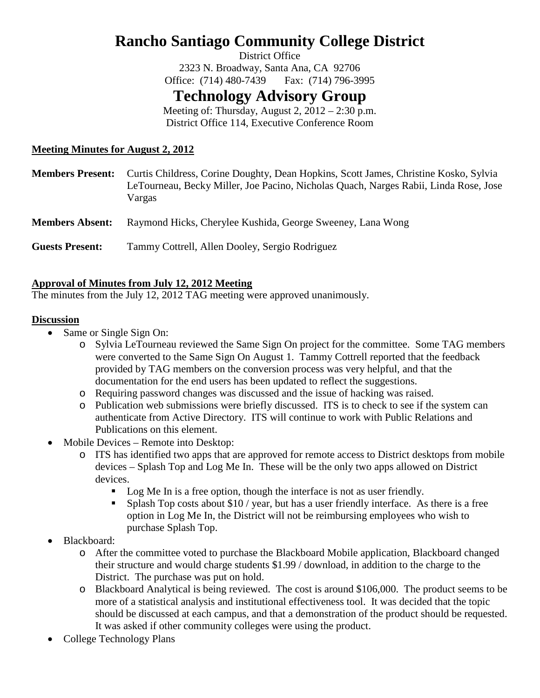# **Rancho Santiago Community College District**

District Office 2323 N. Broadway, Santa Ana, CA 92706 Office: (714) 480-7439 Fax: (714) 796-3995

# **Technology Advisory Group**

Meeting of: Thursday, August  $2$ ,  $2012 - 2:30$  p.m. District Office 114, Executive Conference Room

# **Meeting Minutes for August 2, 2012**

| <b>Members Present:</b> | Curtis Childress, Corine Doughty, Dean Hopkins, Scott James, Christine Kosko, Sylvia<br>LeTourneau, Becky Miller, Joe Pacino, Nicholas Quach, Narges Rabii, Linda Rose, Jose<br>Vargas |
|-------------------------|----------------------------------------------------------------------------------------------------------------------------------------------------------------------------------------|
| <b>Members Absent:</b>  | Raymond Hicks, Cherylee Kushida, George Sweeney, Lana Wong                                                                                                                             |
| <b>Guests Present:</b>  | Tammy Cottrell, Allen Dooley, Sergio Rodriguez                                                                                                                                         |

#### **Approval of Minutes from July 12, 2012 Meeting**

The minutes from the July 12, 2012 TAG meeting were approved unanimously.

# **Discussion**

- Same or Single Sign On:
	- o Sylvia LeTourneau reviewed the Same Sign On project for the committee. Some TAG members were converted to the Same Sign On August 1. Tammy Cottrell reported that the feedback provided by TAG members on the conversion process was very helpful, and that the documentation for the end users has been updated to reflect the suggestions.
	- o Requiring password changes was discussed and the issue of hacking was raised.
	- o Publication web submissions were briefly discussed. ITS is to check to see if the system can authenticate from Active Directory. ITS will continue to work with Public Relations and Publications on this element.
- Mobile Devices Remote into Desktop:
	- o ITS has identified two apps that are approved for remote access to District desktops from mobile devices – Splash Top and Log Me In. These will be the only two apps allowed on District devices.
		- Log Me In is a free option, though the interface is not as user friendly.
		- **Splash Top costs about \$10 / year, but has a user friendly interface.** As there is a free option in Log Me In, the District will not be reimbursing employees who wish to purchase Splash Top.
- Blackboard:
	- o After the committee voted to purchase the Blackboard Mobile application, Blackboard changed their structure and would charge students \$1.99 / download, in addition to the charge to the District. The purchase was put on hold.
	- o Blackboard Analytical is being reviewed. The cost is around \$106,000. The product seems to be more of a statistical analysis and institutional effectiveness tool. It was decided that the topic should be discussed at each campus, and that a demonstration of the product should be requested. It was asked if other community colleges were using the product.
- College Technology Plans